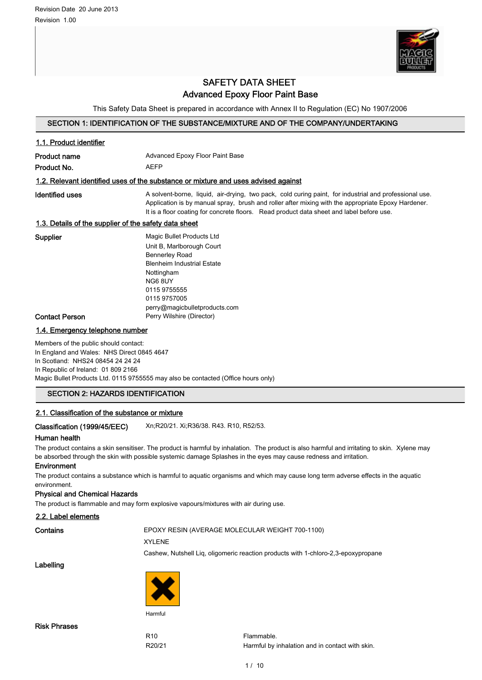

# SAFETY DATA SHEET Advanced Epoxy Floor Paint Base

This Safety Data Sheet is prepared in accordance with Annex II to Regulation (EC) No 1907/2006

# SECTION 1: IDENTIFICATION OF THE SUBSTANCE/MIXTURE AND OF THE COMPANY/UNDERTAKING

| 1.1. Product identifier                                                                                                                                         |                                                                                                                                                                                                                                                                                                          |  |
|-----------------------------------------------------------------------------------------------------------------------------------------------------------------|----------------------------------------------------------------------------------------------------------------------------------------------------------------------------------------------------------------------------------------------------------------------------------------------------------|--|
| <b>Product name</b>                                                                                                                                             | <b>Advanced Epoxy Floor Paint Base</b>                                                                                                                                                                                                                                                                   |  |
| Product No.                                                                                                                                                     | <b>AEFP</b>                                                                                                                                                                                                                                                                                              |  |
|                                                                                                                                                                 | 1.2. Relevant identified uses of the substance or mixture and uses advised against                                                                                                                                                                                                                       |  |
| Identified uses                                                                                                                                                 | A solvent-borne, liquid, air-drying, two pack, cold curing paint, for industrial and professional use.<br>Application is by manual spray, brush and roller after mixing with the appropriate Epoxy Hardener.<br>It is a floor coating for concrete floors. Read product data sheet and label before use. |  |
| 1.3. Details of the supplier of the safety data sheet                                                                                                           |                                                                                                                                                                                                                                                                                                          |  |
| Supplier                                                                                                                                                        | Magic Bullet Products Ltd<br>Unit B, Marlborough Court<br><b>Bennerley Road</b><br><b>Blenheim Industrial Estate</b><br>Nottingham<br>NG6 8UY<br>0115 9755555<br>0115 9757005<br>perry@magicbulletproducts.com                                                                                           |  |
| <b>Contact Person</b>                                                                                                                                           | Perry Wilshire (Director)                                                                                                                                                                                                                                                                                |  |
| 1.4. Emergency telephone number                                                                                                                                 |                                                                                                                                                                                                                                                                                                          |  |
| Members of the public should contact:<br>In England and Wales: NHS Direct 0845 4647<br>In Scotland: NHS24 08454 24 24 24<br>In Republic of Ireland: 01 809 2166 |                                                                                                                                                                                                                                                                                                          |  |

Magic Bullet Products Ltd. 0115 9755555 may also be contacted (Office hours only)

# SECTION 2: HAZARDS IDENTIFICATION

# 2.1. Classification of the substance or mixture

Classification (1999/45/EEC) Xn;R20/21. Xi;R36/38. R43. R10, R52/53.

## Human health

The product contains a skin sensitiser. The product is harmful by inhalation. The product is also harmful and irritating to skin. Xylene may be absorbed through the skin with possible systemic damage Splashes in the eyes may cause redness and irritation.

#### Environment

The product contains a substance which is harmful to aquatic organisms and which may cause long term adverse effects in the aquatic environment.

#### Physical and Chemical Hazards

The product is flammable and may form explosive vapours/mixtures with air during use.

#### 2.2. Label elements

Contains **EPOXY RESIN (AVERAGE MOLECULAR WEIGHT 700-1100)** 

XYLENE

Cashew, Nutshell Liq, oligomeric reaction products with 1-chloro-2,3-epoxypropane

Labelling

Risk Phrases



Harmful

R<sub>10</sub> Flammable R20/21 Harmful by inhalation and in contact with skin.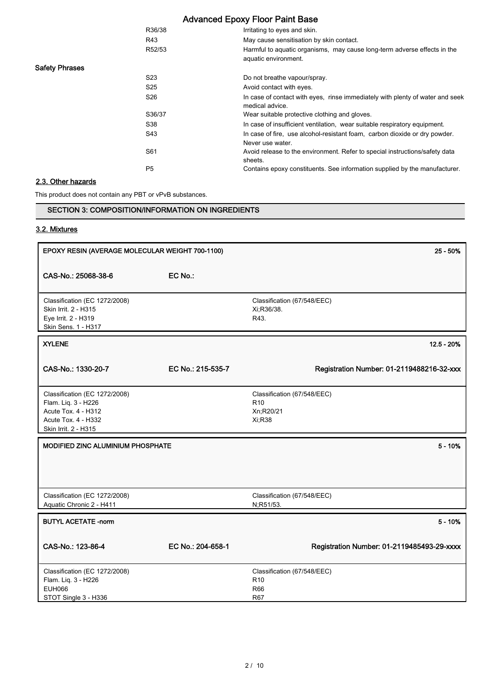|                       | R36/38          | Irritating to eyes and skin.                                                                     |
|-----------------------|-----------------|--------------------------------------------------------------------------------------------------|
|                       | R43             | May cause sensitisation by skin contact.                                                         |
|                       | R52/53          | Harmful to aquatic organisms, may cause long-term adverse effects in the<br>aquatic environment. |
| <b>Safety Phrases</b> |                 |                                                                                                  |
|                       | S <sub>23</sub> | Do not breathe vapour/spray.                                                                     |
|                       | S <sub>25</sub> | Avoid contact with eyes.                                                                         |
|                       | S <sub>26</sub> | In case of contact with eyes, rinse immediately with plenty of water and seek<br>medical advice. |
|                       | S36/37          | Wear suitable protective clothing and gloves.                                                    |
|                       | S38             | In case of insufficient ventilation, wear suitable respiratory equipment.                        |
|                       | S43             | In case of fire, use alcohol-resistant foam, carbon dioxide or dry powder.<br>Never use water.   |
|                       | S61             | Avoid release to the environment. Refer to special instructions/safety data<br>sheets.           |
|                       | P <sub>5</sub>  | Contains epoxy constituents. See information supplied by the manufacturer.                       |
| 2.3. Other hezerde    |                 |                                                                                                  |

#### <u>Other ha</u>

This product does not contain any PBT or vPvB substances.

# SECTION 3: COMPOSITION/INFORMATION ON INGREDIENTS

# 3.2. Mixtures

| EPOXY RESIN (AVERAGE MOLECULAR WEIGHT 700-1100)                                                                            |                   | 25 - 50%                                                               |
|----------------------------------------------------------------------------------------------------------------------------|-------------------|------------------------------------------------------------------------|
| CAS-No.: 25068-38-6                                                                                                        | EC No.:           |                                                                        |
| Classification (EC 1272/2008)<br>Skin Irrit. 2 - H315<br>Eye Irrit. 2 - H319<br>Skin Sens. 1 - H317                        |                   | Classification (67/548/EEC)<br>Xi; R36/38.<br>R43.                     |
| <b>XYLENE</b>                                                                                                              |                   | $12.5 - 20%$                                                           |
| CAS-No.: 1330-20-7                                                                                                         | EC No.: 215-535-7 | Registration Number: 01-2119488216-32-xxx                              |
| Classification (EC 1272/2008)<br>Flam. Liq. 3 - H226<br>Acute Tox. 4 - H312<br>Acute Tox. 4 - H332<br>Skin Irrit. 2 - H315 |                   | Classification (67/548/EEC)<br>R <sub>10</sub><br>Xn;R20/21<br>Xi; R38 |
| MODIFIED ZINC ALUMINIUM PHOSPHATE                                                                                          |                   | $5 - 10%$                                                              |
| Classification (EC 1272/2008)<br>Aquatic Chronic 2 - H411                                                                  |                   | Classification (67/548/EEC)<br>N;R51/53.                               |
| <b>BUTYL ACETATE -norm</b>                                                                                                 |                   | $5 - 10%$                                                              |
| CAS-No.: 123-86-4                                                                                                          | EC No.: 204-658-1 | Registration Number: 01-2119485493-29-xxxx                             |
| Classification (EC 1272/2008)<br>Flam. Liq. 3 - H226<br><b>EUH066</b><br>STOT Single 3 - H336                              |                   | Classification (67/548/EEC)<br>R <sub>10</sub><br>R66<br>R67           |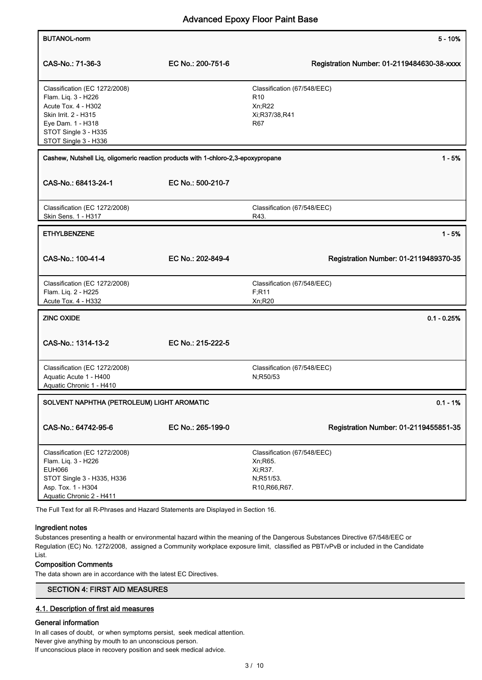| <b>BUTANOL-norm</b>                                                                                                                                                      |                   |                                                                                    | $5 - 10%$                                  |
|--------------------------------------------------------------------------------------------------------------------------------------------------------------------------|-------------------|------------------------------------------------------------------------------------|--------------------------------------------|
| CAS-No.: 71-36-3                                                                                                                                                         | EC No.: 200-751-6 |                                                                                    | Registration Number: 01-2119484630-38-xxxx |
| Classification (EC 1272/2008)<br>Flam. Liq. 3 - H226<br>Acute Tox. 4 - H302<br>Skin Irrit. 2 - H315<br>Eye Dam. 1 - H318<br>STOT Single 3 - H335<br>STOT Single 3 - H336 |                   | Classification (67/548/EEC)<br>R <sub>10</sub><br>Xn;R22<br>Xi;R37/38,R41<br>R67   |                                            |
| Cashew, Nutshell Liq, oligomeric reaction products with 1-chloro-2,3-epoxypropane<br>CAS-No.: 68413-24-1                                                                 | EC No.: 500-210-7 |                                                                                    | $1 - 5%$                                   |
| Classification (EC 1272/2008)<br>Skin Sens. 1 - H317                                                                                                                     |                   | Classification (67/548/EEC)<br>R43.                                                |                                            |
| <b>ETHYLBENZENE</b>                                                                                                                                                      |                   |                                                                                    | $1 - 5%$                                   |
| CAS-No.: 100-41-4                                                                                                                                                        | EC No.: 202-849-4 |                                                                                    | Registration Number: 01-2119489370-35      |
| Classification (EC 1272/2008)<br>Flam. Liq. 2 - H225<br>Acute Tox. 4 - H332                                                                                              |                   | Classification (67/548/EEC)<br>F;R11<br>Xn;R20                                     |                                            |
| <b>ZINC OXIDE</b>                                                                                                                                                        |                   |                                                                                    | $0.1 - 0.25%$                              |
| CAS-No.: 1314-13-2                                                                                                                                                       | EC No.: 215-222-5 |                                                                                    |                                            |
| Classification (EC 1272/2008)<br>Aquatic Acute 1 - H400<br>Aquatic Chronic 1 - H410                                                                                      |                   | Classification (67/548/EEC)<br>N;R50/53                                            |                                            |
| SOLVENT NAPHTHA (PETROLEUM) LIGHT AROMATIC<br>$0.1 - 1%$                                                                                                                 |                   |                                                                                    |                                            |
| CAS-No.: 64742-95-6                                                                                                                                                      | EC No.: 265-199-0 |                                                                                    | Registration Number: 01-2119455851-35      |
| Classification (EC 1272/2008)<br>Flam. Liq. 3 - H226<br><b>EUH066</b><br>STOT Single 3 - H335, H336<br>Asp. Tox. 1 - H304<br>Aquatic Chronic 2 - H411                    |                   | Classification (67/548/EEC)<br>Xn, R65.<br>Xi, R37.<br>N;R51/53.<br>R10, R66, R67. |                                            |

The Full Text for all R-Phrases and Hazard Statements are Displayed in Section 16.

# Ingredient notes

Substances presenting a health or environmental hazard within the meaning of the Dangerous Substances Directive 67/548/EEC or Regulation (EC) No. 1272/2008, assigned a Community workplace exposure limit, classified as PBT/vPvB or included in the Candidate List.

## Composition Comments

The data shown are in accordance with the latest EC Directives.

# SECTION 4: FIRST AID MEASURES

# 4.1. Description of first aid measures

# General information

In all cases of doubt, or when symptoms persist, seek medical attention. Never give anything by mouth to an unconscious person. If unconscious place in recovery position and seek medical advice.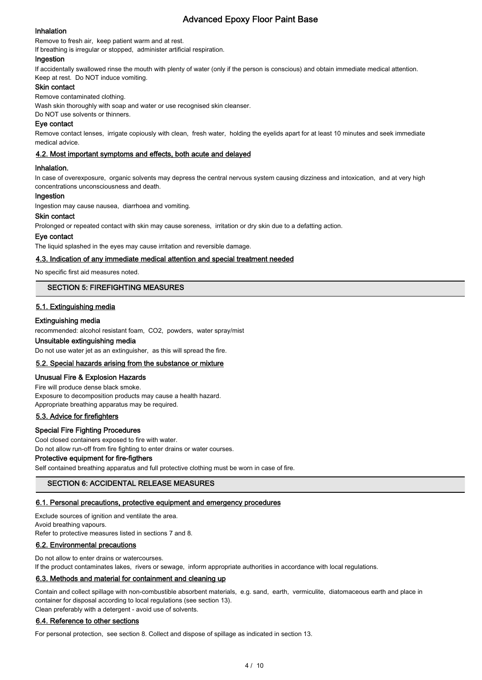# Inhalation

Remove to fresh air, keep patient warm and at rest.

If breathing is irregular or stopped, administer artificial respiration.

## Ingestion

If accidentally swallowed rinse the mouth with plenty of water (only if the person is conscious) and obtain immediate medical attention. Keep at rest. Do NOT induce vomiting.

## Skin contact

Remove contaminated clothing.

Wash skin thoroughly with soap and water or use recognised skin cleanser.

Do NOT use solvents or thinners.

## Eye contact

Remove contact lenses, irrigate copiously with clean, fresh water, holding the eyelids apart for at least 10 minutes and seek immediate medical advice.

# 4.2. Most important symptoms and effects, both acute and delayed

## Inhalation.

In case of overexposure, organic solvents may depress the central nervous system causing dizziness and intoxication, and at very high concentrations unconsciousness and death.

#### Ingestion

Ingestion may cause nausea, diarrhoea and vomiting.

## Skin contact

Prolonged or repeated contact with skin may cause soreness, irritation or dry skin due to a defatting action.

## Eye contact

The liquid splashed in the eyes may cause irritation and reversible damage.

## 4.3. Indication of any immediate medical attention and special treatment needed

No specific first aid measures noted.

# SECTION 5: FIREFIGHTING MEASURES

# 5.1. Extinguishing media

## Extinguishing media

recommended: alcohol resistant foam, CO2, powders, water spray/mist

#### Unsuitable extinguishing media

Do not use water jet as an extinguisher, as this will spread the fire.

# 5.2. Special hazards arising from the substance or mixture

# Unusual Fire & Explosion Hazards

Fire will produce dense black smoke. Exposure to decomposition products may cause a health hazard. Appropriate breathing apparatus may be required.

# 5.3. Advice for firefighters

## Special Fire Fighting Procedures

Cool closed containers exposed to fire with water.

Do not allow run-off from fire fighting to enter drains or water courses.

# Protective equipment for fire-figthers

Self contained breathing apparatus and full protective clothing must be worn in case of fire.

# SECTION 6: ACCIDENTAL RELEASE MEASURES

## 6.1. Personal precautions, protective equipment and emergency procedures

Exclude sources of ignition and ventilate the area.

Avoid breathing vapours.

Refer to protective measures listed in sections 7 and 8.

## 6.2. Environmental precautions

Do not allow to enter drains or watercourses.

If the product contaminates lakes, rivers or sewage, inform appropriate authorities in accordance with local regulations.

# 6.3. Methods and material for containment and cleaning up

Contain and collect spillage with non-combustible absorbent materials, e.g. sand, earth, vermiculite, diatomaceous earth and place in container for disposal according to local regulations (see section 13). Clean preferably with a detergent - avoid use of solvents.

## 6.4. Reference to other sections

For personal protection, see section 8. Collect and dispose of spillage as indicated in section 13.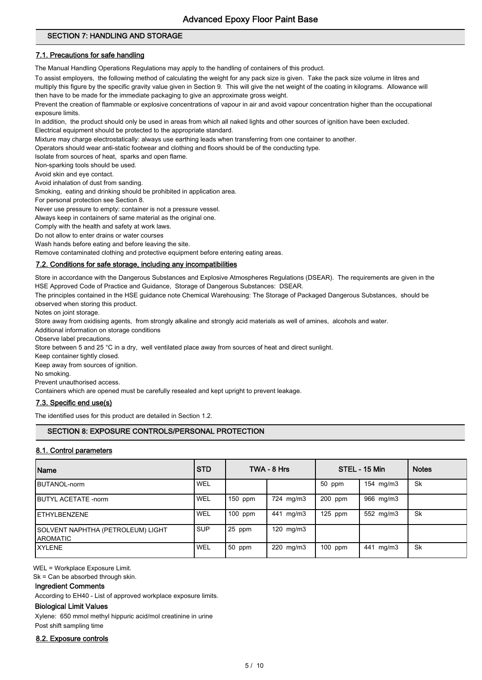# SECTION 7: HANDLING AND STORAGE

# 7.1. Precautions for safe handling

The Manual Handling Operations Regulations may apply to the handling of containers of this product.

To assist employers, the following method of calculating the weight for any pack size is given. Take the pack size volume in litres and

multiply this figure by the specific gravity value given in Section 9. This will give the net weight of the coating in kilograms. Allowance will then have to be made for the immediate packaging to give an approximate gross weight.

Prevent the creation of flammable or explosive concentrations of vapour in air and avoid vapour concentration higher than the occupational exposure limits.

In addition, the product should only be used in areas from which all naked lights and other sources of ignition have been excluded. Electrical equipment should be protected to the appropriate standard.

Mixture may charge electrostatically: always use earthing leads when transferring from one container to another.

Operators should wear anti-static footwear and clothing and floors should be of the conducting type.

Isolate from sources of heat, sparks and open flame.

Non-sparking tools should be used.

Avoid skin and eye contact.

Avoid inhalation of dust from sanding.

Smoking, eating and drinking should be prohibited in application area.

For personal protection see Section 8.

Never use pressure to empty: container is not a pressure vessel.

Always keep in containers of same material as the original one.

Comply with the health and safety at work laws.

Do not allow to enter drains or water courses

Wash hands before eating and before leaving the site.

Remove contaminated clothing and protective equipment before entering eating areas.

# 7.2. Conditions for safe storage, including any incompatibilities

Store in accordance with the Dangerous Substances and Explosive Atmospheres Regulations (DSEAR). The requirements are given in the HSE Approved Code of Practice and Guidance, Storage of Dangerous Substances: DSEAR.

The principles contained in the HSE guidance note Chemical Warehousing: The Storage of Packaged Dangerous Substances, should be observed when storing this product.

Notes on joint storage.

Store away from oxidising agents, from strongly alkaline and strongly acid materials as well of amines, alcohols and water.

Additional information on storage conditions

Observe label precautions.

Store between 5 and 25 °C in a dry, well ventilated place away from sources of heat and direct sunlight.

Keep container tightly closed.

Keep away from sources of ignition.

No smoking.

Prevent unauthorised access.

Containers which are opened must be carefully resealed and kept upright to prevent leakage.

## 7.3. Specific end use(s)

The identified uses for this product are detailed in Section 1.2.

# SECTION 8: EXPOSURE CONTROLS/PERSONAL PROTECTION

## 8.1. Control parameters

| <b>Name</b>                                    | <b>STD</b> |           | TWA - 8 Hrs    |           | STEL - 15 Min | <b>Notes</b> |
|------------------------------------------------|------------|-----------|----------------|-----------|---------------|--------------|
| <b>BUTANOL-norm</b>                            | WEL        |           |                | 50 ppm    | 154 mg/m3     | Sk           |
| <b>IBUTYL ACETATE -norm</b>                    | <b>WEL</b> | $150$ ppm | 724 mg/m3      | 200 ppm   | 966 mg/m3     |              |
| <b>IETHYLBENZENE</b>                           | <b>WEL</b> | $100$ ppm | mg/m3<br>441   | $125$ ppm | 552 mg/m3     | Sk           |
| SOLVENT NAPHTHA (PETROLEUM) LIGHT<br>IAROMATIC | <b>SUP</b> | 25 ppm    | 120 $mg/m3$    |           |               |              |
| <b>IXYLENE</b>                                 | WEL        | 50 ppm    | $220$ mg/m $3$ | 100 ppm   | mg/m3<br>441  | Sk           |

WEL = Workplace Exposure Limit.

Sk = Can be absorbed through skin.

#### Ingredient Comments

According to EH40 - List of approved workplace exposure limits.

# Biological Limit Values

Xylene: 650 mmol methyl hippuric acid/mol creatinine in urine

Post shift sampling time

## 8.2. Exposure controls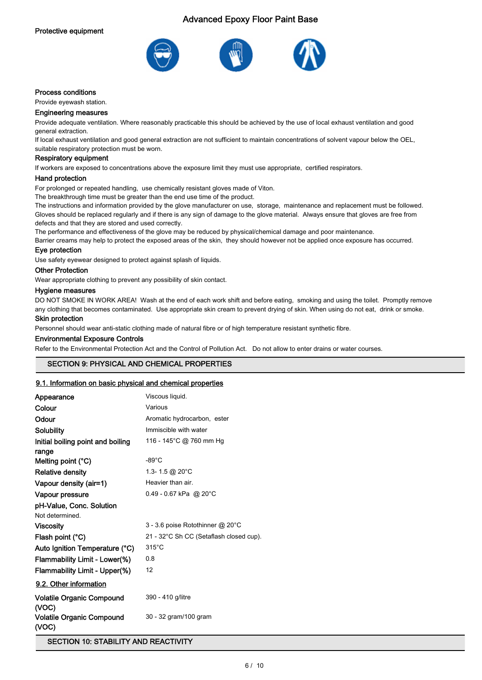

# Process conditions

Provide eyewash station.

#### Engineering measures

Provide adequate ventilation. Where reasonably practicable this should be achieved by the use of local exhaust ventilation and good general extraction.

If local exhaust ventilation and good general extraction are not sufficient to maintain concentrations of solvent vapour below the OEL, suitable respiratory protection must be worn.

#### Respiratory equipment

If workers are exposed to concentrations above the exposure limit they must use appropriate, certified respirators.

#### Hand protection

For prolonged or repeated handling, use chemically resistant gloves made of Viton.

The breakthrough time must be greater than the end use time of the product.

The instructions and information provided by the glove manufacturer on use, storage, maintenance and replacement must be followed. Gloves should be replaced regularly and if there is any sign of damage to the glove material. Always ensure that gloves are free from defects and that they are stored and used correctly.

The performance and effectiveness of the glove may be reduced by physical/chemical damage and poor maintenance.

Barrier creams may help to protect the exposed areas of the skin, they should however not be applied once exposure has occurred.

#### Eye protection

Use safety eyewear designed to protect against splash of liquids.

#### Other Protection

Wear appropriate clothing to prevent any possibility of skin contact.

#### Hygiene measures

DO NOT SMOKE IN WORK AREA! Wash at the end of each work shift and before eating, smoking and using the toilet. Promptly remove any clothing that becomes contaminated. Use appropriate skin cream to prevent drying of skin. When using do not eat, drink or smoke.

## Skin protection

Personnel should wear anti-static clothing made of natural fibre or of high temperature resistant synthetic fibre.

#### Environmental Exposure Controls

Refer to the Environmental Protection Act and the Control of Pollution Act. Do not allow to enter drains or water courses.

# SECTION 9: PHYSICAL AND CHEMICAL PROPERTIES

## 9.1. Information on basic physical and chemical properties

| Appearance                                 | Viscous liquid.                         |
|--------------------------------------------|-----------------------------------------|
| Colour                                     | Various                                 |
| Odour                                      | Aromatic hydrocarbon, ester             |
| Solubility                                 | Immiscible with water                   |
| Initial boiling point and boiling<br>range | 116 - 145°C @ 760 mm Hg                 |
| Melting point $(^{\circ}C)$                | $-89^{\circ}$ C                         |
| Relative density                           | 1.3-1.5 @ 20 $^{\circ}$ C               |
| Vapour density (air=1)                     | Heavier than air.                       |
| Vapour pressure                            | $0.49 - 0.67$ kPa @ 20°C                |
| pH-Value, Conc. Solution                   |                                         |
| Not determined.                            |                                         |
| <b>Viscosity</b>                           | 3 - 3.6 poise Rotothinner @ 20°C        |
| Flash point (°C)                           | 21 - 32°C Sh CC (Setaflash closed cup). |
| Auto Ignition Temperature (°C)             | $315^{\circ}$ C                         |
| Flammability Limit - Lower(%)              | 0.8                                     |
| Flammability Limit - Upper(%)              | 12                                      |
| 9.2. Other information                     |                                         |
| <b>Volatile Organic Compound</b><br>(VOC)  | 390 - 410 g/litre                       |
| <b>Volatile Organic Compound</b><br>(VOC)  | 30 - 32 gram/100 gram                   |

SECTION 10: STABILITY AND REACTIVITY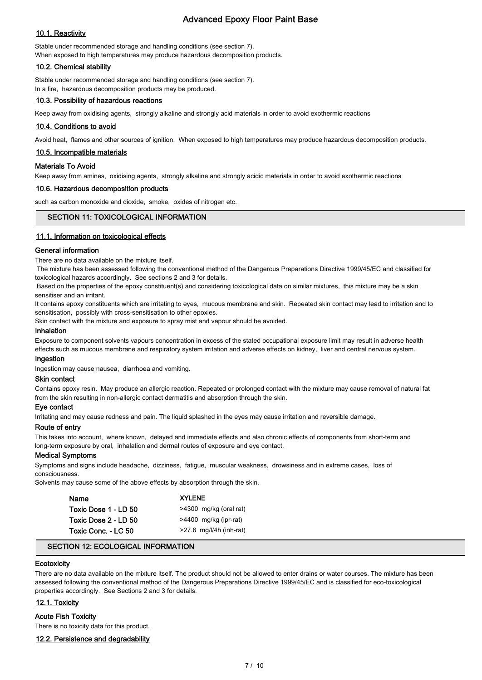# 10.1. Reactivity

Stable under recommended storage and handling conditions (see section 7). When exposed to high temperatures may produce hazardous decomposition products.

#### 10.2. Chemical stability

Stable under recommended storage and handling conditions (see section 7). In a fire, hazardous decomposition products may be produced.

## 10.3. Possibility of hazardous reactions

Keep away from oxidising agents, strongly alkaline and strongly acid materials in order to avoid exothermic reactions

# 10.4. Conditions to avoid

Avoid heat, flames and other sources of ignition. When exposed to high temperatures may produce hazardous decomposition products.

## 10.5. Incompatible materials

#### Materials To Avoid

Keep away from amines, oxidising agents, strongly alkaline and strongly acidic materials in order to avoid exothermic reactions

#### 10.6. Hazardous decomposition products

such as carbon monoxide and dioxide, smoke, oxides of nitrogen etc.

## SECTION 11: TOXICOLOGICAL INFORMATION

## 11.1. Information on toxicological effects

#### General information

There are no data available on the mixture itself.

 The mixture has been assessed following the conventional method of the Dangerous Preparations Directive 1999/45/EC and classified for toxicological hazards accordingly. See sections 2 and 3 for details.

 Based on the properties of the epoxy constituent(s) and considering toxicological data on similar mixtures, this mixture may be a skin sensitiser and an irritant.

It contains epoxy constituents which are irritating to eyes, mucous membrane and skin. Repeated skin contact may lead to irritation and to sensitisation, possibly with cross-sensitisation to other epoxies.

Skin contact with the mixture and exposure to spray mist and vapour should be avoided.

#### Inhalation

Exposure to component solvents vapours concentration in excess of the stated occupational exposure limit may result in adverse health effects such as mucous membrane and respiratory system irritation and adverse effects on kidney, liver and central nervous system.

#### Ingestion

Ingestion may cause nausea, diarrhoea and vomiting.

# Skin contact

Contains epoxy resin. May produce an allergic reaction. Repeated or prolonged contact with the mixture may cause removal of natural fat from the skin resulting in non-allergic contact dermatitis and absorption through the skin.

#### Eye contact

Irritating and may cause redness and pain. The liquid splashed in the eyes may cause irritation and reversible damage.

#### Route of entry

This takes into account, where known, delayed and immediate effects and also chronic effects of components from short-term and long-term exposure by oral, inhalation and dermal routes of exposure and eye contact.

#### Medical Symptoms

Symptoms and signs include headache, dizziness, fatigue, muscular weakness, drowsiness and in extreme cases, loss of consciousness.

Solvents may cause some of the above effects by absorption through the skin.

| Name                 | <b>XYLENE</b>             |
|----------------------|---------------------------|
| Toxic Dose 1 - LD 50 | >4300 mg/kg (oral rat)    |
| Toxic Dose 2 - LD 50 | >4400 mg/kg (ipr-rat)     |
| Toxic Conc. - LC 50  | $>27.6$ mg/l/4h (inh-rat) |

## SECTION 12: ECOLOGICAL INFORMATION

# **Ecotoxicity**

There are no data available on the mixture itself. The product should not be allowed to enter drains or water courses. The mixture has been assessed following the conventional method of the Dangerous Preparations Directive 1999/45/EC and is classified for eco-toxicological properties accordingly. See Sections 2 and 3 for details.

# 12.1. Toxicity

# Acute Fish Toxicity

There is no toxicity data for this product.

# 12.2. Persistence and degradability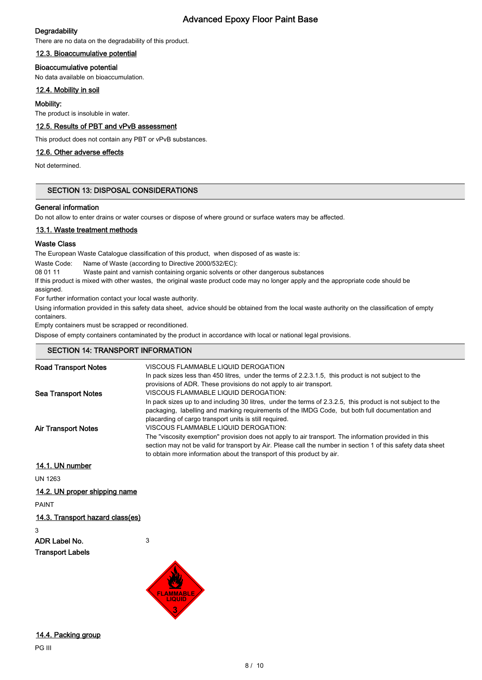# **Degradability**

There are no data on the degradability of this product.

# 12.3. Bioaccumulative potential

# Bioaccumulative potential

No data available on bioaccumulation.

# 12.4. Mobility in soil

# Mobility:

The product is insoluble in water.

# 12.5. Results of PBT and vPvB assessment

This product does not contain any PBT or vPvB substances.

# 12.6. Other adverse effects

Not determined.

# SECTION 13: DISPOSAL CONSIDERATIONS

# General information

Do not allow to enter drains or water courses or dispose of where ground or surface waters may be affected.

# 13.1. Waste treatment methods

# Waste Class

The European Waste Catalogue classification of this product, when disposed of as waste is:

Waste Code: Name of Waste (according to Directive 2000/532/EC):

08 01 11 Waste paint and varnish containing organic solvents or other dangerous substances

If this product is mixed with other wastes, the original waste product code may no longer apply and the appropriate code should be assigned.

For further information contact your local waste authority.

Using information provided in this safety data sheet, advice should be obtained from the local waste authority on the classification of empty containers.

Empty containers must be scrapped or reconditioned.

Dispose of empty containers contaminated by the product in accordance with local or national legal provisions.

# SECTION 14: TRANSPORT INFORMATION

| <b>Road Transport Notes</b>      | VISCOUS FLAMMABLE LIQUID DEROGATION                                                                                                                                                                            |
|----------------------------------|----------------------------------------------------------------------------------------------------------------------------------------------------------------------------------------------------------------|
|                                  | In pack sizes less than 450 litres, under the terms of 2.2.3.1.5, this product is not subject to the                                                                                                           |
|                                  | provisions of ADR. These provisions do not apply to air transport.                                                                                                                                             |
| <b>Sea Transport Notes</b>       | VISCOUS FLAMMABLE LIQUID DEROGATION:                                                                                                                                                                           |
|                                  | In pack sizes up to and including 30 litres, under the terms of 2.3.2.5, this product is not subject to the<br>packaging, labelling and marking requirements of the IMDG Code, but both full documentation and |
|                                  | placarding of cargo transport units is still required.                                                                                                                                                         |
| <b>Air Transport Notes</b>       | VISCOUS FLAMMABLE LIQUID DEROGATION:                                                                                                                                                                           |
|                                  | The "viscosity exemption" provision does not apply to air transport. The information provided in this                                                                                                          |
|                                  | section may not be valid for transport by Air. Please call the number in section 1 of this safety data sheet                                                                                                   |
|                                  | to obtain more information about the transport of this product by air.                                                                                                                                         |
| 14.1. UN number                  |                                                                                                                                                                                                                |
| UN 1263                          |                                                                                                                                                                                                                |
| 14.2. UN proper shipping name    |                                                                                                                                                                                                                |
| <b>PAINT</b>                     |                                                                                                                                                                                                                |
| 14.3. Transport hazard class(es) |                                                                                                                                                                                                                |
| 3                                |                                                                                                                                                                                                                |
| ADR Label No.                    | 3                                                                                                                                                                                                              |
| <b>Transport Labels</b>          |                                                                                                                                                                                                                |

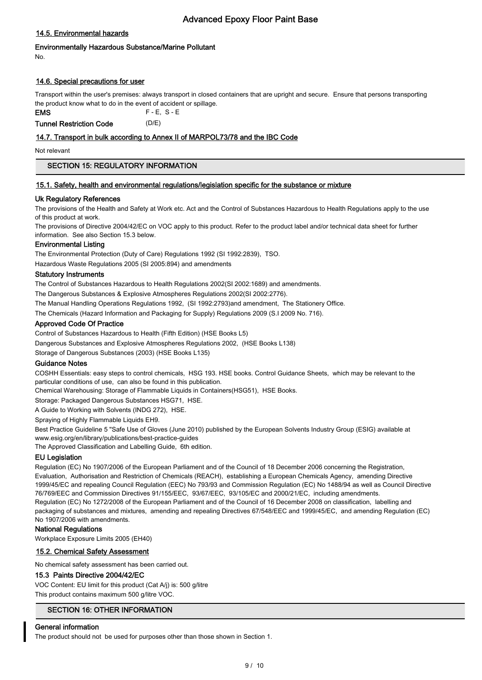# 14.5. Environmental hazards

# Environmentally Hazardous Substance/Marine Pollutant

No.

# 14.6. Special precautions for user

Transport within the user's premises: always transport in closed containers that are upright and secure. Ensure that persons transporting the product know what to do in the event of accident or spillage.

FMS F-F S-F Tunnel Restriction Code (D/E)

# 14.7. Transport in bulk according to Annex II of MARPOL73/78 and the IBC Code

Not relevant

# SECTION 15: REGULATORY INFORMATION

## 15.1. Safety, health and environmental regulations/legislation specific for the substance or mixture

# Uk Regulatory References

The provisions of the Health and Safety at Work etc. Act and the Control of Substances Hazardous to Health Regulations apply to the use of this product at work.

The provisions of Directive 2004/42/EC on VOC apply to this product. Refer to the product label and/or technical data sheet for further information. See also Section 15.3 below.

# Environmental Listing

The Environmental Protection (Duty of Care) Regulations 1992 (SI 1992:2839), TSO.

Hazardous Waste Regulations 2005 (SI 2005:894) and amendments

# Statutory Instruments

The Control of Substances Hazardous to Health Regulations 2002(SI 2002:1689) and amendments.

The Dangerous Substances & Explosive Atmospheres Regulations 2002(SI 2002:2776).

The Manual Handling Operations Regulations 1992, (SI 1992:2793)and amendment, The Stationery Office.

The Chemicals (Hazard Information and Packaging for Supply) Regulations 2009 (S.I 2009 No. 716).

# Approved Code Of Practice

Control of Substances Hazardous to Health (Fifth Edition) (HSE Books L5)

Dangerous Substances and Explosive Atmospheres Regulations 2002, (HSE Books L138)

Storage of Dangerous Substances (2003) (HSE Books L135)

# Guidance Notes

COSHH Essentials: easy steps to control chemicals, HSG 193. HSE books. Control Guidance Sheets, which may be relevant to the particular conditions of use, can also be found in this publication.

Chemical Warehousing: Storage of Flammable Liquids in Containers(HSG51), HSE Books.

Storage: Packaged Dangerous Substances HSG71, HSE.

A Guide to Working with Solvents (INDG 272), HSE.

Spraying of Highly Flammable Liquids EH9.

Best Practice Guideline 5 "Safe Use of Gloves (June 2010) published by the European Solvents Industry Group (ESIG) available at www.esig.org/en/library/publications/best-practice-guides

The Approved Classification and Labelling Guide, 6th edition.

# EU Legislation

Regulation (EC) No 1907/2006 of the European Parliament and of the Council of 18 December 2006 concerning the Registration, Evaluation, Authorisation and Restriction of Chemicals (REACH), establishing a European Chemicals Agency, amending Directive 1999/45/EC and repealing Council Regulation (EEC) No 793/93 and Commission Regulation (EC) No 1488/94 as well as Council Directive 76/769/EEC and Commission Directives 91/155/EEC, 93/67/EEC, 93/105/EC and 2000/21/EC, including amendments. Regulation (EC) No 1272/2008 of the European Parliament and of the Council of 16 December 2008 on classification, labelling and packaging of substances and mixtures, amending and repealing Directives 67/548/EEC and 1999/45/EC, and amending Regulation (EC) No 1907/2006 with amendments.

## National Regulations

Workplace Exposure Limits 2005 (EH40)

## 15.2. Chemical Safety Assessment

No chemical safety assessment has been carried out.

## 15.3 Paints Directive 2004/42/EC

VOC Content: EU limit for this product (Cat A/j) is: 500 g/litre This product contains maximum 500 g/litre VOC.

# SECTION 16: OTHER INFORMATION

## General information

The product should not be used for purposes other than those shown in Section 1.